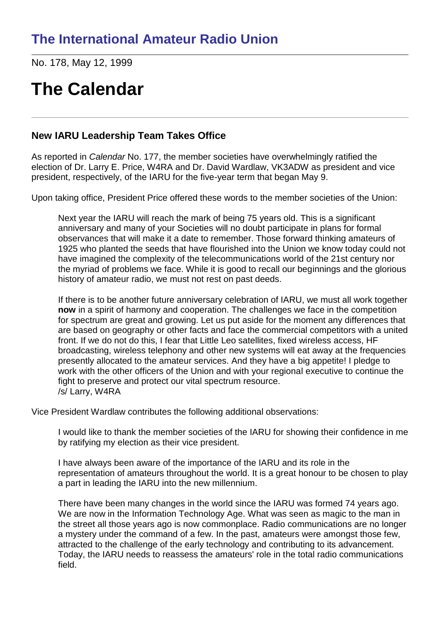No. 178, May 12, 1999

# **The Calendar**

#### **New IARU Leadership Team Takes Office**

As reported in *Calendar* No. 177, the member societies have overwhelmingly ratified the election of Dr. Larry E. Price, W4RA and Dr. David Wardlaw, VK3ADW as president and vice president, respectively, of the IARU for the five-year term that began May 9.

Upon taking office, President Price offered these words to the member societies of the Union:

Next year the IARU will reach the mark of being 75 years old. This is a significant anniversary and many of your Societies will no doubt participate in plans for formal observances that will make it a date to remember. Those forward thinking amateurs of 1925 who planted the seeds that have flourished into the Union we know today could not have imagined the complexity of the telecommunications world of the 21st century nor the myriad of problems we face. While it is good to recall our beginnings and the glorious history of amateur radio, we must not rest on past deeds.

If there is to be another future anniversary celebration of IARU, we must all work together **now** in a spirit of harmony and cooperation. The challenges we face in the competition for spectrum are great and growing. Let us put aside for the moment any differences that are based on geography or other facts and face the commercial competitors with a united front. If we do not do this, I fear that Little Leo satellites, fixed wireless access, HF broadcasting, wireless telephony and other new systems will eat away at the frequencies presently allocated to the amateur services. And they have a big appetite! I pledge to work with the other officers of the Union and with your regional executive to continue the fight to preserve and protect our vital spectrum resource. /s/ Larry, W4RA

Vice President Wardlaw contributes the following additional observations:

I would like to thank the member societies of the IARU for showing their confidence in me by ratifying my election as their vice president.

I have always been aware of the importance of the IARU and its role in the representation of amateurs throughout the world. It is a great honour to be chosen to play a part in leading the IARU into the new millennium.

There have been many changes in the world since the IARU was formed 74 years ago. We are now in the Information Technology Age. What was seen as magic to the man in the street all those years ago is now commonplace. Radio communications are no longer a mystery under the command of a few. In the past, amateurs were amongst those few, attracted to the challenge of the early technology and contributing to its advancement. Today, the IARU needs to reassess the amateurs' role in the total radio communications field.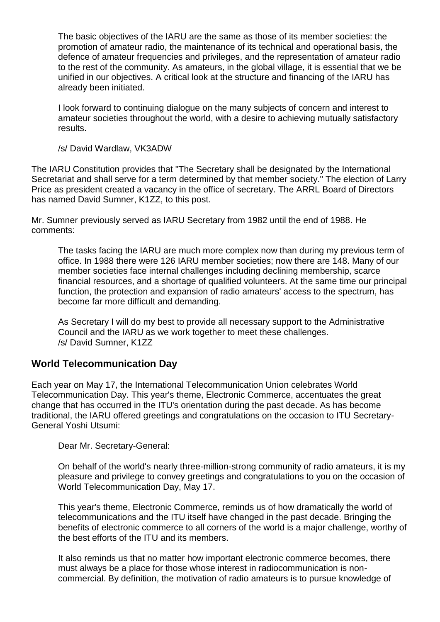The basic objectives of the IARU are the same as those of its member societies: the promotion of amateur radio, the maintenance of its technical and operational basis, the defence of amateur frequencies and privileges, and the representation of amateur radio to the rest of the community. As amateurs, in the global village, it is essential that we be unified in our objectives. A critical look at the structure and financing of the IARU has already been initiated.

I look forward to continuing dialogue on the many subjects of concern and interest to amateur societies throughout the world, with a desire to achieving mutually satisfactory results.

/s/ David Wardlaw, VK3ADW

The IARU Constitution provides that "The Secretary shall be designated by the International Secretariat and shall serve for a term determined by that member society." The election of Larry Price as president created a vacancy in the office of secretary. The ARRL Board of Directors has named David Sumner, K1ZZ, to this post.

Mr. Sumner previously served as IARU Secretary from 1982 until the end of 1988. He comments:

The tasks facing the IARU are much more complex now than during my previous term of office. In 1988 there were 126 IARU member societies; now there are 148. Many of our member societies face internal challenges including declining membership, scarce financial resources, and a shortage of qualified volunteers. At the same time our principal function, the protection and expansion of radio amateurs' access to the spectrum, has become far more difficult and demanding.

As Secretary I will do my best to provide all necessary support to the Administrative Council and the IARU as we work together to meet these challenges. /s/ David Sumner, K1ZZ

#### **World Telecommunication Day**

Each year on May 17, the International Telecommunication Union celebrates World Telecommunication Day. This year's theme, Electronic Commerce, accentuates the great change that has occurred in the ITU's orientation during the past decade. As has become traditional, the IARU offered greetings and congratulations on the occasion to ITU Secretary-General Yoshi Utsumi:

Dear Mr. Secretary-General:

On behalf of the world's nearly three-million-strong community of radio amateurs, it is my pleasure and privilege to convey greetings and congratulations to you on the occasion of World Telecommunication Day, May 17.

This year's theme, Electronic Commerce, reminds us of how dramatically the world of telecommunications and the ITU itself have changed in the past decade. Bringing the benefits of electronic commerce to all corners of the world is a major challenge, worthy of the best efforts of the ITU and its members.

It also reminds us that no matter how important electronic commerce becomes, there must always be a place for those whose interest in radiocommunication is noncommercial. By definition, the motivation of radio amateurs is to pursue knowledge of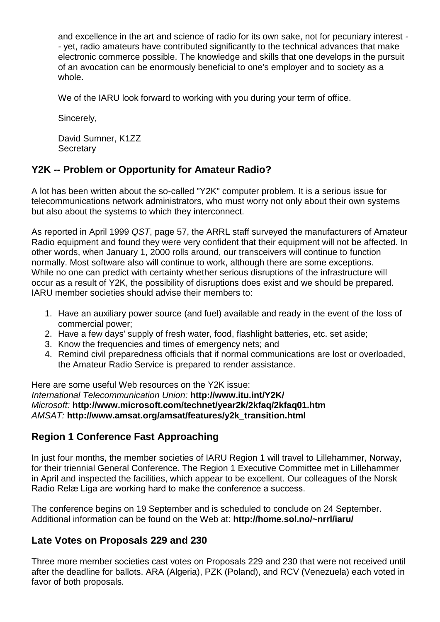and excellence in the art and science of radio for its own sake, not for pecuniary interest *- -* yet, radio amateurs have contributed significantly to the technical advances that make electronic commerce possible. The knowledge and skills that one develops in the pursuit of an avocation can be enormously beneficial to one's employer and to society as a whole.

We of the IARU look forward to working with you during your term of office.

Sincerely,

David Sumner, K1ZZ **Secretary** 

### **Y2K** *--* **Problem or Opportunity for Amateur Radio?**

A lot has been written about the so-called "Y2K" computer problem. It is a serious issue for telecommunications network administrators, who must worry not only about their own systems but also about the systems to which they interconnect.

As reported in April 1999 *QST*, page 57, the ARRL staff surveyed the manufacturers of Amateur Radio equipment and found they were very confident that their equipment will not be affected. In other words, when January 1, 2000 rolls around, our transceivers will continue to function normally. Most software also will continue to work, although there are some exceptions. While no one can predict with certainty whether serious disruptions of the infrastructure will occur as a result of Y2K, the possibility of disruptions does exist and we should be prepared. IARU member societies should advise their members to:

- 1. Have an auxiliary power source (and fuel) available and ready in the event of the loss of commercial power;
- 2. Have a few days' supply of fresh water, food, flashlight batteries, etc. set aside;
- 3. Know the frequencies and times of emergency nets; and
- 4. Remind civil preparedness officials that if normal communications are lost or overloaded, the Amateur Radio Service is prepared to render assistance.

Here are some useful Web resources on the Y2K issue: *International Telecommunication Union:* **http://www.itu.int/Y2K/** *Microsoft:* **http://www.microsoft.com/technet/year2k/2kfaq/2kfaq01.htm** *AMSAT:* **http://www.amsat.org/amsat/features/y2k\_transition.html**

### **Region 1 Conference Fast Approaching**

In just four months, the member societies of IARU Region 1 will travel to Lillehammer, Norway, for their triennial General Conference. The Region 1 Executive Committee met in Lillehammer in April and inspected the facilities, which appear to be excellent. Our colleagues of the Norsk Radio Relæ Liga are working hard to make the conference a success.

The conference begins on 19 September and is scheduled to conclude on 24 September. Additional information can be found on the Web at: **http://home.sol.no/~nrrl/iaru/**

### **Late Votes on Proposals 229 and 230**

Three more member societies cast votes on Proposals 229 and 230 that were not received until after the deadline for ballots. ARA (Algeria), PZK (Poland), and RCV (Venezuela) each voted in favor of both proposals.